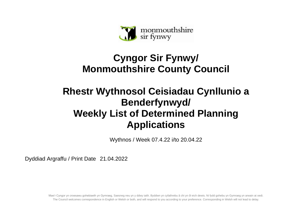

## **Cyngor Sir Fynwy/ Monmouthshire County Council**

## **Rhestr Wythnosol Ceisiadau Cynllunio a Benderfynwyd/ Weekly List of Determined Planning Applications**

Wythnos / Week 07.4.22 i/to 20.04.22

Dyddiad Argraffu / Print Date 21.04.2022

Mae'r Cyngor yn croesawu gohebiaeth yn Gymraeg, Saesneg neu yn y ddwy iaith. Byddwn yn cyfathrebu â chi yn ôl eich dewis. Ni fydd gohebu yn Gymraeg yn arwain at oedi. The Council welcomes correspondence in English or Welsh or both, and will respond to you according to your preference. Corresponding in Welsh will not lead to delay.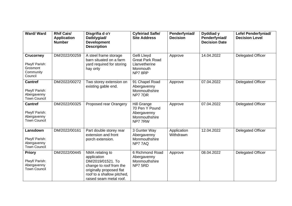| <b>Ward/Ward</b>                                                       | <b>Rhif Cais/</b><br><b>Application</b><br><b>Number</b> | Disgrifia d o'r<br>Datblygiad/<br><b>Development</b><br><b>Description</b>                                                                                          | <b>Cyfeiriad Safle/</b><br><b>Site Address</b>                               | Penderfyniad/<br><b>Decision</b> | Dyddiad y<br>Penderfyniad/<br><b>Decision Date</b> | <b>Lefel Penderfyniad/</b><br><b>Decision Level</b> |
|------------------------------------------------------------------------|----------------------------------------------------------|---------------------------------------------------------------------------------------------------------------------------------------------------------------------|------------------------------------------------------------------------------|----------------------------------|----------------------------------------------------|-----------------------------------------------------|
| <b>Crucorney</b><br>Plwyf/ Parish:<br>Grosmont<br>Community<br>Council | DM/2022/00259                                            | A steel frame storage<br>barn situated on a farm<br>yard required for storing<br>hay only                                                                           | Gelli Llwyd<br><b>Great Park Road</b><br>Llanvetherine<br>Monmouth<br>NP78RP | Approve                          | 14.04.2022                                         | <b>Delegated Officer</b>                            |
| <b>Cantref</b><br>Plwyf/ Parish:<br>Abergavenny<br><b>Town Council</b> | DM/2022/00272                                            | Two storey extension on<br>existing gable end.                                                                                                                      | 91 Chapel Road<br>Abergavenny<br>Monmouthshire<br>NP777DR                    | Approve                          | 07.04.2022                                         | <b>Delegated Officer</b>                            |
| <b>Cantref</b><br>Plwyf/ Parish:<br>Abergavenny<br><b>Town Council</b> | DM/2022/00325                                            | Proposed rear Orangery                                                                                                                                              | Hill Grange<br>70 Pen Y Pound<br>Abergavenny<br>Monmouthshire<br>NP777RW     | Approve                          | 07.04.2022                                         | Delegated Officer                                   |
| Lansdown<br>Plwyf/ Parish:<br>Abergavenny<br><b>Town Council</b>       | DM/2022/00161                                            | Part double storey rear<br>extension and front<br>porch extension.                                                                                                  | 3 Gunter Way<br>Abergavenny<br>Monmouthshire<br>NP77AQ                       | Application<br>Withdrawn         | 12.04.2022                                         | Delegated Officer                                   |
| <b>Priory</b><br>Plwyf/ Parish:<br>Abergavenny<br><b>Town Council</b>  | DM/2022/00445                                            | NMA relating to<br>application<br>DM/2019/01521. To<br>change to roof from the<br>originally proposed flat<br>roof to a shallow pitched,<br>raised seam metal roof. | 6 Richmond Road<br>Abergavenny<br>Monmouthshire<br>NP75RD                    | Approve                          | 08.04.2022                                         | Delegated Officer                                   |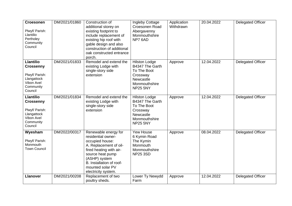| <b>Croesonen</b><br>Plwyf/ Parish:<br>Llantilio<br>Pertholey<br>Community<br>Council                        | DM/2021/01860 | Construction of<br>additional storey on<br>existing footprint to<br>include replacement of<br>existing hip roof with<br>gable design and also<br>construction of additional<br>oak constructed entrance<br>porch.              | Ingleby Cottage<br>Croesonen Road<br>Abergavenny<br>Monmouthshire<br>NP76AD                                         | Application<br>Withdrawn | 20.04.2022 | <b>Delegated Officer</b> |
|-------------------------------------------------------------------------------------------------------------|---------------|--------------------------------------------------------------------------------------------------------------------------------------------------------------------------------------------------------------------------------|---------------------------------------------------------------------------------------------------------------------|--------------------------|------------|--------------------------|
| <b>Llantilio</b><br><b>Crossenny</b><br>Plwyf/ Parish:<br>Llangattock<br>Vibon Avel<br>Community<br>Council | DM/2021/01833 | Remodel and extend the<br>existing Lodge with<br>single-story side<br>extension                                                                                                                                                | <b>Hilston Lodge</b><br>B4347 The Garth<br>To The Boot<br>Crossway<br>Newcastle<br>Monmouthshire<br><b>NP25 5NY</b> | Approve                  | 12.04.2022 | <b>Delegated Officer</b> |
| <b>Llantilio</b><br><b>Crossenny</b><br>Plwyf/ Parish:<br>Llangattock<br>Vibon Avel<br>Community<br>Council | DM/2021/01834 | Remodel and extend the<br>existing Lodge with<br>single-story side<br>extension                                                                                                                                                | <b>Hilston Lodge</b><br>B4347 The Garth<br>To The Boot<br>Crossway<br>Newcastle<br>Monmouthshire<br><b>NP25 5NY</b> | Approve                  | 12.04.2022 | <b>Delegated Officer</b> |
| Wyesham<br>Plwyf/ Parish:<br>Monmouth<br><b>Town Council</b>                                                | DM/2022/00317 | Renewable energy for<br>residential owner-<br>occupied house:<br>A. Replacement of oil-<br>fired heating with air-<br>source heat pump<br>(ASHP) system<br>B. Installation of roof-<br>mounted solar PV<br>electricity system. | <b>Yew House</b><br>6 Kymin Road<br>The Kymin<br>Monmouth<br>Monmouthshire<br><b>NP25 3SD</b>                       | Approve                  | 08.04.2022 | <b>Delegated Officer</b> |
| <b>Llanover</b>                                                                                             | DM/2021/00208 | Replacement of two<br>poultry sheds.                                                                                                                                                                                           | Lower Ty Newydd<br>Farm                                                                                             | Approve                  | 12.04.2022 | <b>Delegated Officer</b> |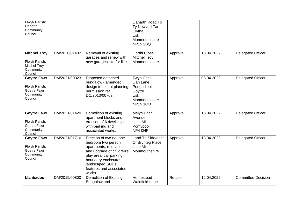| Plwyf/ Parish:<br>Llanarth<br>Community<br>Council                                   |               |                                                                                                                                                                                                                 | Llanarth Road To<br>Ty Newydd Farm<br>Clytha<br><b>Usk</b><br>Monmouthshire<br><b>NP15 2BQ</b>            |         |            |                           |
|--------------------------------------------------------------------------------------|---------------|-----------------------------------------------------------------------------------------------------------------------------------------------------------------------------------------------------------------|-----------------------------------------------------------------------------------------------------------|---------|------------|---------------------------|
| <b>Mitchel Troy</b><br>Plwyf/ Parish:<br><b>Mitchel Troy</b><br>Community<br>Council | DM/2020/01432 | Removal of existing<br>garages and renew with<br>new garages like for like.                                                                                                                                     | <b>Garthi Close</b><br><b>Mitchel Troy</b><br>Monmouthshire                                               | Approve | 13.04.2022 | <b>Delegated Officer</b>  |
| <b>Goytre Fawr</b><br>Plwyf/ Parish:<br>Goetre Fawr<br>Community<br>Council          | DM/2021/00323 | Proposed detached<br>bungalow - amended<br>design to extant planning<br>permission ref<br>DC/2013/00703.                                                                                                        | <b>Twyn Cecil</b><br>Llan Lane<br>Penperlleni<br>Goytre<br><b>Usk</b><br>Monmouthshire<br><b>NP15 1QD</b> | Approve | 08.04.2022 | <b>Delegated Officer</b>  |
| <b>Goytre Fawr</b><br>Plwyf/ Parish:<br>Goetre Fawr<br>Community<br>Council          | DM/2021/01420 | Demolition of existing<br>apartment blocks and<br>erection of 6 dwellings<br>with parking and<br>associated works.                                                                                              | Melyn Bach<br>Avenue<br><b>Little Mill</b><br>Pontypool<br>NP4 0HP                                        | Approve | 13.04.2022 | <b>Delegated Officer</b>  |
| <b>Goytre Fawr</b><br>Plwyf/ Parish:<br>Goetre Fawr<br>Community<br>Council          | DM/2021/01716 | Erection of two no. one<br>bedroom two person<br>apartments, relocation<br>and upgrade of children's<br>play area, car parking,<br>boundary enclosures,<br>landscaped SUDs<br>features and associated<br>works. | Land To Side/east<br>Of Brynteg Place<br><b>Little Mill</b><br>Monmouthshire                              | Approve | 13.04.2022 | <b>Delegated Officer</b>  |
| <b>Llanbadoc</b>                                                                     | DM/2019/00800 | <b>Demolition of Existing</b><br>Bungalow and                                                                                                                                                                   | Homestead<br><b>Wainfield Lane</b>                                                                        | Refuse  | 12.04.2022 | <b>Committee Decision</b> |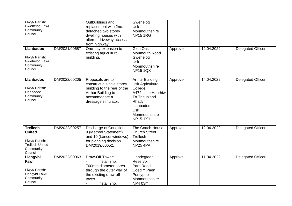| Plwyf/ Parish:<br>Gwehelog Fawr<br>Community<br>Council                                              |               | Outbuildings and<br>replacement with 2no.<br>detached two storey<br>dwelling houses with<br>altered driveway access<br>from highway.       | Gwehelog<br><b>Usk</b><br>Monmouthshire<br><b>NP15 1RG</b>                                                                                                                   |         |            |                          |
|------------------------------------------------------------------------------------------------------|---------------|--------------------------------------------------------------------------------------------------------------------------------------------|------------------------------------------------------------------------------------------------------------------------------------------------------------------------------|---------|------------|--------------------------|
| <b>Llanbadoc</b><br>Plwyf/ Parish:<br>Gwehelog Fawr<br>Community<br>Council                          | DM/2021/00687 | One-bay extension to<br>existing agricultural<br>building.                                                                                 | Glen Oak<br>Monmouth Road<br>Gwehelog<br><b>Usk</b><br>Monmouthshire<br><b>NP15 1QX</b>                                                                                      | Approve | 12.04.2022 | <b>Delegated Officer</b> |
| <b>Llanbadoc</b><br>Plwyf/ Parish:<br>Llanbadoc<br>Community<br>Council                              | DM/2022/00205 | Proposals are to<br>construct a single storey<br>building to the rear of the<br>Arthur Building to<br>accommodate a<br>dressage simulator. | <b>Arthur Building</b><br><b>Usk Agricultural</b><br>College<br>A472 Little Henrhiw<br>To The Island<br>Rhadyr<br>Llanbadoc<br><b>Usk</b><br>Monmouthshire<br><b>NP151XJ</b> | Approve | 14.04.2022 | <b>Delegated Officer</b> |
| <b>Trellech</b><br><b>United</b><br>Plwyf/ Parish:<br><b>Trellech United</b><br>Community<br>Council | DM/2022/00257 | <b>Discharge of Conditions</b><br>9 (Method Statement)<br>and 10 (Lancet windows)<br>for planning decision<br>DM/2019/00652.               | The Coach House<br><b>Church Street</b><br>Trellech<br>Monmouthshire<br><b>NP25 4PA</b>                                                                                      | Approve | 12.04.2022 | <b>Delegated Officer</b> |
| Llangybi<br>Fawr<br>Plwyf/ Parish:<br>Llangybi Fawr<br>Community<br>Council                          | DM/2022/00063 | Draw-Off Tower:<br>Install 3no.<br>700mm diameter cores<br>through the outer wall of<br>the existing draw-off<br>tower.<br>Install 2no.    | Llandegfedd<br>Reservoir<br>Parc Road<br>Coed Y Paen<br>Pontypool<br>Monmouthshire<br>NP4 0SY                                                                                | Approve | 11.04.2022 | <b>Delegated Officer</b> |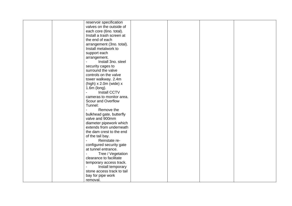|  | reservoir specification    |  |  |
|--|----------------------------|--|--|
|  | valves on the outside of   |  |  |
|  | each core (6no. total).    |  |  |
|  | Install a trash screen at  |  |  |
|  | the end of each            |  |  |
|  | arrangement (3no. total).  |  |  |
|  | Install metalwork to       |  |  |
|  | support each               |  |  |
|  | arrangement.               |  |  |
|  | Install 3no. steel         |  |  |
|  | security cages to          |  |  |
|  | surround the valve         |  |  |
|  | controls on the valve      |  |  |
|  | tower walkway. 2.4m        |  |  |
|  | (high) $x$ 2.0m (wide) $x$ |  |  |
|  | 1.6m (long).               |  |  |
|  | <b>Install CCTV</b>        |  |  |
|  | cameras to monitor area.   |  |  |
|  | Scour and Overflow         |  |  |
|  | Tunnel:                    |  |  |
|  | Remove the                 |  |  |
|  | bulkhead gate, butterfly   |  |  |
|  | valve and 900mm            |  |  |
|  | diameter pipework which    |  |  |
|  | extends from underneath    |  |  |
|  | the dam crest to the end   |  |  |
|  |                            |  |  |
|  | of the tail bay.           |  |  |
|  | Reinstate re-              |  |  |
|  | configured security gate   |  |  |
|  | at tunnel entrance.        |  |  |
|  | Tree / Vegetation          |  |  |
|  | clearance to facilitate    |  |  |
|  | temporary access track.    |  |  |
|  | Install temporary          |  |  |
|  | stone access track to tail |  |  |
|  | bay for pipe work          |  |  |
|  | removal.                   |  |  |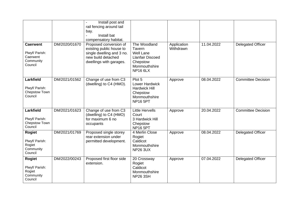|                                                                       |               | Install post and<br>rail fencing around tail<br>bay.<br>Install bat<br>compensatory habitat.                                     |                                                                                                                       |                          |            |                           |
|-----------------------------------------------------------------------|---------------|----------------------------------------------------------------------------------------------------------------------------------|-----------------------------------------------------------------------------------------------------------------------|--------------------------|------------|---------------------------|
| <b>Caerwent</b><br>Plwyf/ Parish:<br>Caerwent<br>Community<br>Council | DM/2020/01670 | Proposed conversion of<br>existing public house to<br>single dwelling and 3 no.<br>new build detached<br>dwellings with garages. | The Woodland<br>Tavern<br><b>Well Lane</b><br><b>Llanfair Discoed</b><br>Chepstow<br>Monmouthshire<br><b>NP16 6LX</b> | Application<br>Withdrawn | 11.04.2022 | <b>Delegated Officer</b>  |
| Larkfield<br>Plwyf/ Parish:<br>Chepstow Town<br>Council               | DM/2021/01562 | Change of use from C3<br>(dwelling) to C4 (HMO).                                                                                 | Plot 5<br>Lower Hardwick<br><b>Hardwick Hill</b><br>Chepstow<br>Monmouthshire<br><b>NP16 5PT</b>                      | Approve                  | 08.04.2022 | <b>Committee Decision</b> |
| Larkfield<br>Plwyf/ Parish:<br>Chepstow Town<br>Council               | DM/2021/01623 | Change of use from C3<br>(dwelling) to C4 (HMO)<br>for maximum 6 no<br>occupants                                                 | <b>Little Hervells</b><br>Court<br>3 Hardwick Hill<br>Chepstow<br>NP <sub>16</sub> 5PT                                | Approve                  | 20.04.2022 | <b>Committee Decision</b> |
| <b>Rogiet</b><br>Plwyf/ Parish:<br>Rogiet<br>Community<br>Council     | DM/2021/01769 | Proposed single storey<br>rear extension under<br>permitted development.                                                         | 4 Merlin Close<br>Rogiet<br>Caldicot<br>Monmouthshire<br><b>NP26 3UX</b>                                              | Approve                  | 08.04.2022 | <b>Delegated Officer</b>  |
| <b>Rogiet</b><br>Plwyf/ Parish:<br>Rogiet<br>Community<br>Council     | DM/2022/00243 | Proposed first floor side<br>extension.                                                                                          | 20 Crossway<br>Rogiet<br>Caldicot<br>Monmouthshire<br><b>NP26 3SH</b>                                                 | Approve                  | 07.04.2022 | <b>Delegated Officer</b>  |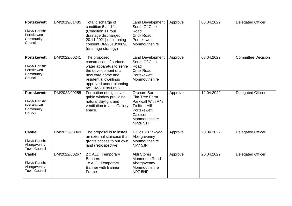| <b>Portskewett</b><br>Plwyf/ Parish:<br>Portskewett<br>Community<br>Council | DM/2019/01485 | Total discharge of<br>condition 5 and 11<br>(Condition 11 foul<br>drainage discharged<br>20.11.2021) of planning<br>consent DM/2018/00696<br>(drainage strategy)                            | <b>Land Development</b><br>South Of Crick<br>Road<br><b>Crick Road</b><br>Portskewett<br>Monmouthshire                                    | Approve | 08.04.2022 | <b>Delegated Officer</b>  |
|-----------------------------------------------------------------------------|---------------|---------------------------------------------------------------------------------------------------------------------------------------------------------------------------------------------|-------------------------------------------------------------------------------------------------------------------------------------------|---------|------------|---------------------------|
| <b>Portskewett</b><br>Plwyf/ Parish:<br>Portskewett<br>Community<br>Council | DM/2022/00241 | The proposed<br>construction of surface<br>water apparatus to serve<br>the development of a<br>new care home and<br>residential dwellings<br>approved under planning<br>ref: DM/2018/00696. | <b>Land Development</b><br>South Of Crick<br>Road<br><b>Crick Road</b><br>Portskewett<br>Monmouthshire                                    | Approve | 08.04.2022 | <b>Committee Decision</b> |
| <b>Portskewett</b><br>Plwyf/ Parish:<br>Portskewett<br>Community<br>Council | DM/2022/00255 | Formation of high level<br>gable window providing<br>natural daylight and<br>ventilation to attic Gallery<br>space.                                                                         | <b>Orchard Barn</b><br>Elm Tree Farm<br>Parkwall With A48<br>To Ifton Hill<br>Portskewett<br>Caldicot<br>Monmouthshire<br><b>NP26 5TT</b> | Approve | 12.04.2022 | <b>Delegated Officer</b>  |
| <b>Castle</b><br>Plwyf/ Parish:<br>Abergavenny<br><b>Town Council</b>       | DM/2022/00049 | The proposal is to install<br>an external staircase that<br>grants access to our own<br>land (retrospective)                                                                                | 1 Clos Y Pinwydd<br>Abergavenny<br>Monmouthshire<br>NP7 5JP                                                                               | Approve | 20.04.2022 | <b>Delegated Officer</b>  |
| <b>Castle</b><br>Plwyf/ Parish:<br>Abergavenny<br><b>Town Council</b>       | DM/2022/00267 | 2 x ALDI Temporary<br><b>Banners</b><br>1x ALDI Temporary<br><b>Banner with Banner</b><br>Frame.                                                                                            | <b>Aldi Stores</b><br><b>Monmouth Road</b><br>Abergavenny<br>Monmouthshire<br>NP7 5HF                                                     | Approve | 20.04.2022 | <b>Delegated Officer</b>  |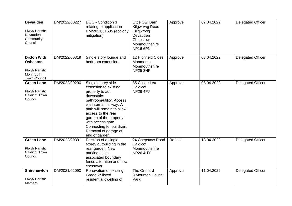| <b>Devauden</b><br>Plwyf/ Parish:<br>Devauden<br>Community<br>Council                      | DM/2022/00227 | DOC - Condition 3<br>relating to application<br>DM/2021/01635 (ecology<br>mitigation).                                                                                                                                                                                                                       | Little Owl Barn<br><b>Kilgwrrwg Road</b><br>Killgwrrwg<br>Devauden<br>Chepstow<br>Monmouthshire<br><b>NP16 6PN</b> | Approve | 07.04.2022 | <b>Delegated Officer</b> |
|--------------------------------------------------------------------------------------------|---------------|--------------------------------------------------------------------------------------------------------------------------------------------------------------------------------------------------------------------------------------------------------------------------------------------------------------|--------------------------------------------------------------------------------------------------------------------|---------|------------|--------------------------|
| <b>Dixton With</b><br><b>Osbaston</b><br>Plwyf/ Parish:<br>Monmouth<br><b>Town Council</b> | DM/2022/00319 | Single story lounge and<br>bedroom extension.                                                                                                                                                                                                                                                                | 12 Highfield Close<br>Monmouth<br>Monmouthshire<br><b>NP25 3HP</b>                                                 | Approve | 08.04.2022 | <b>Delegated Officer</b> |
| <b>Green Lane</b><br>Plwyf/ Parish:<br><b>Caldicot Town</b><br>Council                     | DM/2022/00290 | Single storey side<br>extension to existing<br>property to add<br>downstairs<br>bathroom/utility. Access<br>via internal hallway. A<br>path will remain to allow<br>access to the rear<br>garden of the property<br>with access gate.<br>Connecting to foul drain.<br>Removal of garage at<br>end of garden. | 85 Castle Lea<br>Caldicot<br><b>NP26 4PJ</b>                                                                       | Approve | 08.04.2022 | <b>Delegated Officer</b> |
| <b>Green Lane</b><br>Plwyf/ Parish:<br><b>Caldicot Town</b><br>Council                     | DM/2022/00391 | Erection of a single<br>storey outbuilding in the<br>rear garden. New<br>parking space,<br>associated boundary<br>fence alteration and new<br>crossover.                                                                                                                                                     | 24 Chepstow Road<br>Caldicot<br>Monmouthshire<br><b>NP26 4HY</b>                                                   | Refuse  | 13.04.2022 | <b>Delegated Officer</b> |
| <b>Shirenewton</b><br>Plwyf/ Parish:<br>Mathern                                            | DM/2021/02090 | Renovation of existing<br>Grade 2* listed<br>residential dwelling of                                                                                                                                                                                                                                         | The Orchard<br>8 Mounton House<br>Park                                                                             | Approve | 11.04.2022 | <b>Delegated Officer</b> |